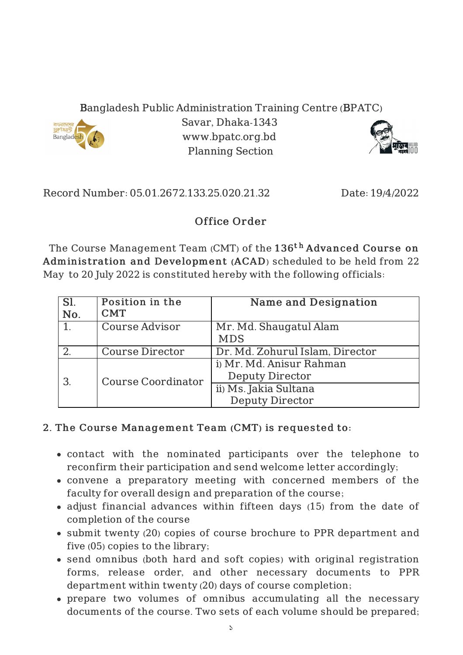## Bangladesh Public Administration Training Centre (BPATC)



Savar, Dhaka-1343 www.bpatc.org.bd Planning Section



Record Number: 05.01.2672.133.25.020.21.32 Date: 19/4/2022

## Office Order

The Course Management Team (CMT) of the  $136^{\rm th}$  <code>Advanced Course on</code> Adminis tration and Development (ACAD) scheduled to be held from 22 May to 20 July 2022 is constituted hereby with the following officials:

| Sl.<br>No. | Position in the<br><b>CMT</b> | Name and Designation                                                                                  |
|------------|-------------------------------|-------------------------------------------------------------------------------------------------------|
| 1.         | <b>Course Advisor</b>         | Mr. Md. Shaugatul Alam<br><b>MDS</b>                                                                  |
|            | <b>Course Director</b>        | Dr. Md. Zohurul Islam, Director                                                                       |
| 3.         | <b>Course Coordinator</b>     | i) Mr. Md. Anisur Rahman<br><b>Deputy Director</b><br>ii) Ms. Jakia Sultana<br><b>Deputy Director</b> |

## 2. The Course Management Team (CMT) is requested to:

- contact with the nominated participants over the telephone to reconfirm their participation and send welcome letter accordingly;
- convene a preparatory meeting with concerned members of the faculty for overall design and preparation of the course;
- adjust financial advances within fifteen days (15) from the date of completion of the course
- submit twenty (20) copies of course brochure to PPR department and five (05) copies to the library;
- send omnibus (both hard and soft copies) with original registration forms, release order, and other necessary documents to PPR department within twenty (20) days of course completion;
- prepare two volumes of omnibus accumulating all the necessary documents of the course. Two sets of each volume should be prepared;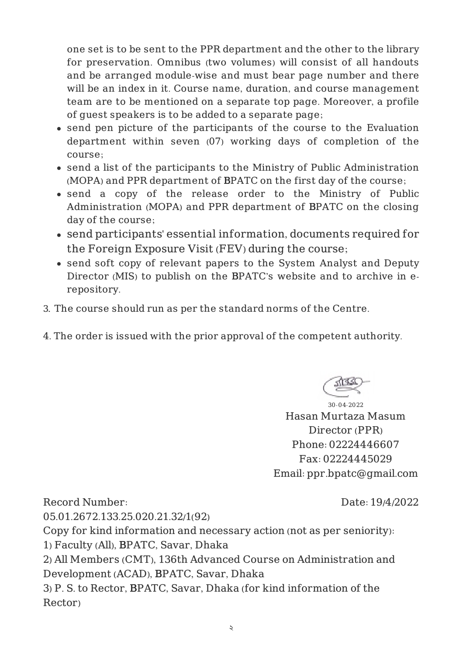one set is to be sent to the PPR department and the other to the library for preservation. Omnibus (two volumes) will consist of all handouts and be arranged module-wise and must bear page number and there will be an index in it. Course name, duration, and course management team are to be mentioned on a separate top page. Moreover, a profile of guest speakers is to be added to a separate page;

- send pen picture of the participants of the course to the Evaluation department within seven (07) working days of completion of the course;
- send a list of the participants to the Ministry of Public Administration (MOPA) and PPR department of BPATC on the first day of the course;
- send a copy of the release order to the Ministry of Public Administration (MOPA) and PPR department of BPATC on the closing day of the course;
- send participants' essential information, documents required for the Foreign Exposure Visit (FEV) during the course;
- send soft copy of relevant papers to the System Analyst and Deputy Director (MIS) to publish on the BPATC's website and to archive in erepository.
- 3. The course should run as per the standard norms of the Centre.
- 4. The order is issued with the prior approval of the competent authority.

30-04-2022 Hasan Murtaza Masum Director (PPR) Phone: 02224446607 Fax: 02224445029 Email: ppr.bpatc@gmail.com

Record Number: 05.01.2672.133.25.020.21.32/1(92) Date: 19/4/2022 Copy for kind information and necessary action (not as per seniority): 1) Faculty (All), BPATC, Savar, Dhaka 2) All Members (CMT), 136th Advanced Course on Administration and Development (ACAD), BPATC, Savar, Dhaka 3) P. S. to Rector, BPATC, Savar, Dhaka (for kind information of the Rector)

২